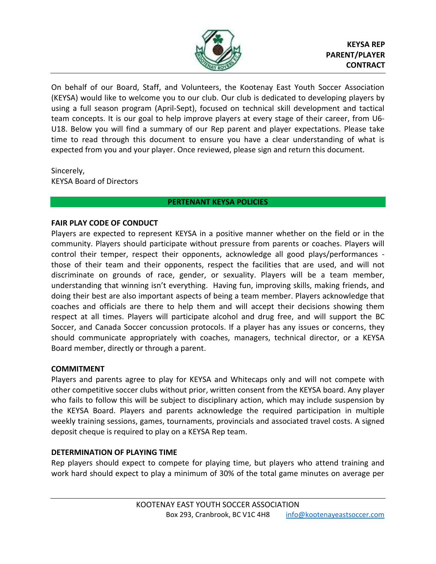

On behalf of our Board, Staff, and Volunteers, the Kootenay East Youth Soccer Association (KEYSA) would like to welcome you to our club. Our club is dedicated to developing players by using a full season program (April-Sept), focused on technical skill development and tactical team concepts. It is our goal to help improve players at every stage of their career, from U6- U18. Below you will find a summary of our Rep parent and player expectations. Please take time to read through this document to ensure you have a clear understanding of what is expected from you and your player. Once reviewed, please sign and return this document.

Sincerely, KEYSA Board of Directors

# **PERTENANT KEYSA POLICIES**

# **FAIR PLAY CODE OF CONDUCT**

Players are expected to represent KEYSA in a positive manner whether on the field or in the community. Players should participate without pressure from parents or coaches. Players will control their temper, respect their opponents, acknowledge all good plays/performances those of their team and their opponents, respect the facilities that are used, and will not discriminate on grounds of race, gender, or sexuality. Players will be a team member, understanding that winning isn't everything. Having fun, improving skills, making friends, and doing their best are also important aspects of being a team member. Players acknowledge that coaches and officials are there to help them and will accept their decisions showing them respect at all times. Players will participate alcohol and drug free, and will support the BC Soccer, and Canada Soccer concussion protocols. If a player has any issues or concerns, they should communicate appropriately with coaches, managers, technical director, or a KEYSA Board member, directly or through a parent.

# **COMMITMENT**

Players and parents agree to play for KEYSA and Whitecaps only and will not compete with other competitive soccer clubs without prior, written consent from the KEYSA board. Any player who fails to follow this will be subject to disciplinary action, which may include suspension by the KEYSA Board. Players and parents acknowledge the required participation in multiple weekly training sessions, games, tournaments, provincials and associated travel costs. A signed deposit cheque is required to play on a KEYSA Rep team.

# **DETERMINATION OF PLAYING TIME**

Rep players should expect to compete for playing time, but players who attend training and work hard should expect to play a minimum of 30% of the total game minutes on average per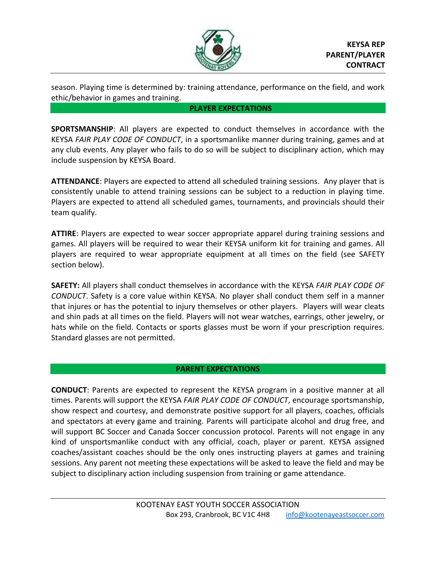

season. Playing time is determined by: training attendance, performance on the field, and work ethic/behavior in games and training.

## **PLAYER EXPECTATIONS**

**SPORTSMANSHIP**: All players are expected to conduct themselves in accordance with the KEYSA *FAIR PLAY CODE OF CONDUCT*, in a sportsmanlike manner during training, games and at any club events. Any player who fails to do so will be subject to disciplinary action, which may include suspension by KEYSA Board.

**ATTENDANCE**: Players are expected to attend all scheduled training sessions. Any player that is consistently unable to attend training sessions can be subject to a reduction in playing time. Players are expected to attend all scheduled games, tournaments, and provincials should their team qualify.

**ATTIRE**: Players are expected to wear soccer appropriate apparel during training sessions and games. All players will be required to wear their KEYSA uniform kit for training and games. All players are required to wear appropriate equipment at all times on the field (see SAFETY section below).

**SAFETY:** All players shall conduct themselves in accordance with the KEYSA *FAIR PLAY CODE OF CONDUCT*. Safety is a core value within KEYSA. No player shall conduct them self in a manner that injures or has the potential to injury themselves or other players. Players will wear cleats and shin pads at all times on the field. Players will not wear watches, earrings, other jewelry, or hats while on the field. Contacts or sports glasses must be worn if your prescription requires. Standard glasses are not permitted.

# **PARENT EXPECTATIONS**

**CONDUCT**: Parents are expected to represent the KEYSA program in a positive manner at all times. Parents will support the KEYSA *FAIR PLAY CODE OF CONDUCT*, encourage sportsmanship, show respect and courtesy, and demonstrate positive support for all players, coaches, officials and spectators at every game and training. Parents will participate alcohol and drug free, and will support BC Soccer and Canada Soccer concussion protocol. Parents will not engage in any kind of unsportsmanlike conduct with any official, coach, player or parent. KEYSA assigned coaches/assistant coaches should be the only ones instructing players at games and training sessions. Any parent not meeting these expectations will be asked to leave the field and may be subject to disciplinary action including suspension from training or game attendance.